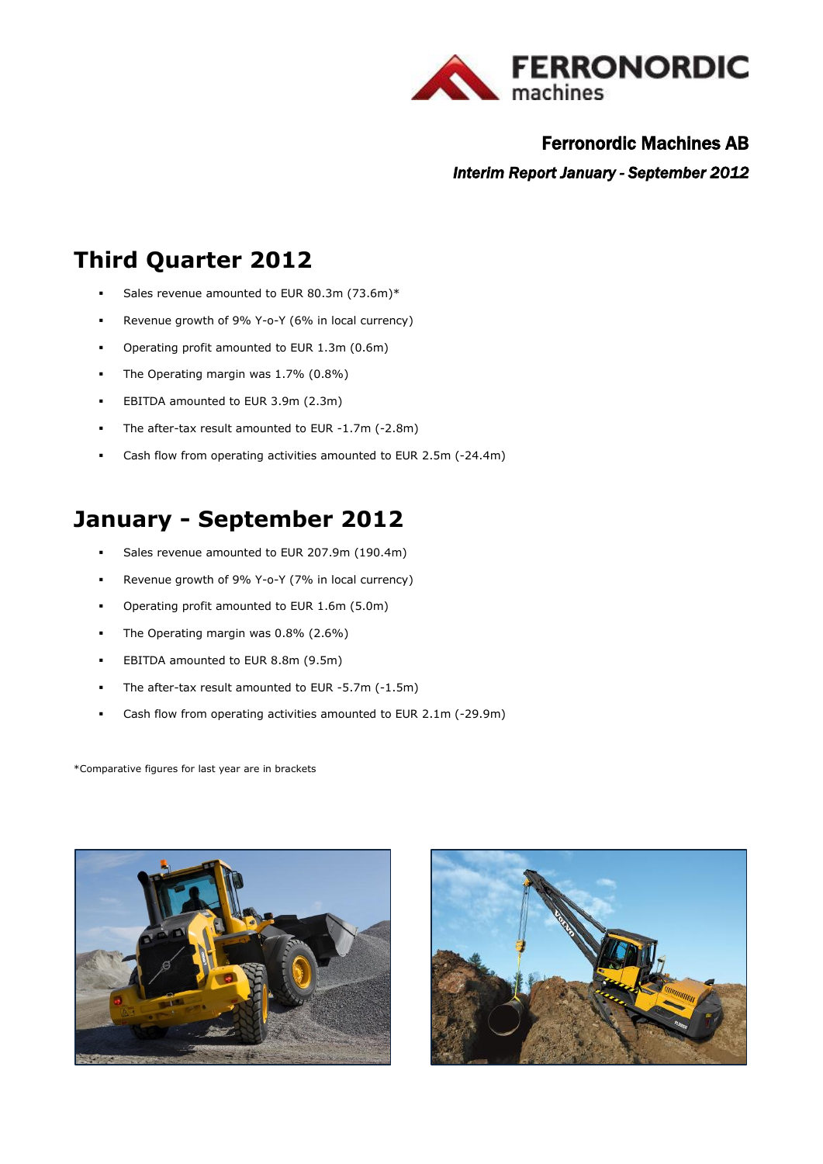

# Ferronordic Machines AB

*Interim Report January - September 2012* 

# **Third Quarter 2012**

- Sales revenue amounted to EUR 80.3m (73.6m)\*
- Revenue growth of 9% Y-o-Y (6% in local currency)
- Operating profit amounted to EUR 1.3m (0.6m)
- The Operating margin was 1.7% (0.8%)
- **EBITDA amounted to EUR 3.9m (2.3m)**
- The after-tax result amounted to EUR -1.7m (-2.8m)
- Cash flow from operating activities amounted to EUR 2.5m (-24.4m)

# **January - September 2012**

- Sales revenue amounted to EUR 207.9m (190.4m)
- Revenue growth of 9% Y-o-Y (7% in local currency)
- Operating profit amounted to EUR 1.6m (5.0m)
- The Operating margin was 0.8% (2.6%)
- **EBITDA amounted to EUR 8.8m (9.5m)**
- The after-tax result amounted to EUR -5.7m (-1.5m)
- Cash flow from operating activities amounted to EUR 2.1m (-29.9m)

\*Comparative figures for last year are in brackets



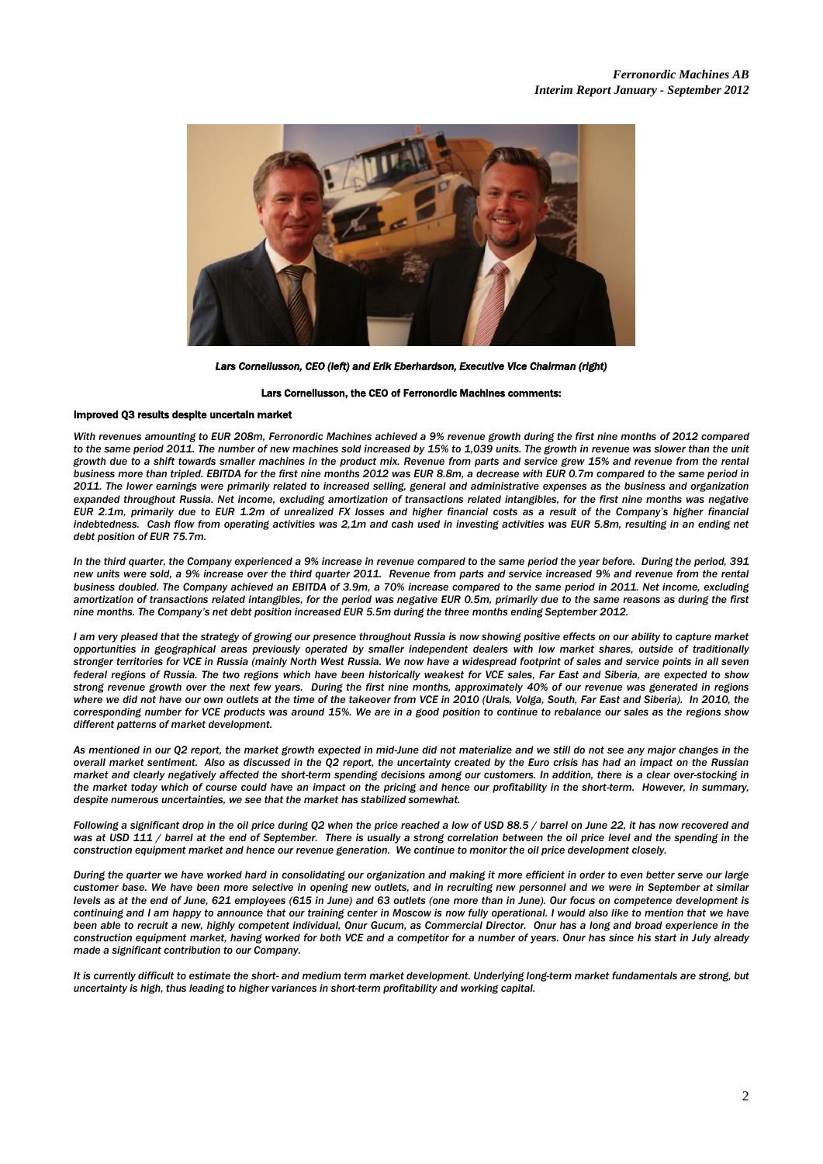

*Lars Corneliusson, CEO (left) and Erik Eberhardson, Executive Vice Chairman (right)* 

#### Lars Corneliusson, the CEO of Ferronordic Machines comments:

#### Improved Q3 results despite uncertain market

 *With revenues amounting to EUR 208m, Ferronordic Machines achieved a 9% revenue growth during the first nine months of 2012 compared to the same period 2011. The number of new machines sold increased by 15% to 1,039 units. The growth in revenue was slower than the unit growth due to a shift towards smaller machines in the product mix. Revenue from parts and service grew 15% and revenue from the rental business more than tripled. EBITDA for the first nine months 2012 was EUR 8.8m, a decrease with EUR 0.7m compared to the same period in 2011. The lower earnings were primarily related to increased selling, general and administrative expenses as the business and organization expanded throughout Russia. Net income, excluding amortization of transactions related intangibles, for the first nine months was negative EUR 2.1m, primarily due to EUR 1.2m of unrealized FX losses and higher financial costs as a result of the Company's higher financial indebtedness. Cash flow from operating activities was 2,1m and cash used in investing activities was EUR 5.8m, resulting in an ending net debt position of EUR 75.7m.* 

*In the third quarter, the Company experienced a 9% increase in revenue compared to the same period the year before. During the period, 391 new units were sold, a 9% increase over the third quarter 2011. Revenue from parts and service increased 9% and revenue from the rental business doubled. The Company achieved an EBITDA of 3.9m, a 70% increase compared to the same period in 2011. Net income, excluding amortization of transactions related intangibles, for the period was negative EUR 0.5m, primarily due to the same reasons as during the first nine months. The Company's net debt position increased EUR 5.5m during the three months ending September 2012.*

*I am very pleased that the strategy of growing our presence throughout Russia is now showing positive effects on our ability to capture market opportunities in geographical areas previously operated by smaller independent dealers with low market shares, outside of traditionally stronger territories for VCE in Russia (mainly North West Russia. We now have a widespread footprint of sales and service points in all seven federal regions of Russia. The two regions which have been historically weakest for VCE sales, Far East and Siberia, are expected to show strong revenue growth over the next few years. During the first nine months, approximately 40% of our revenue was generated in regions where we did not have our own outlets at the time of the takeover from VCE in 2010 (Urals, Volga, South, Far East and Siberia). In 2010, the corresponding number for VCE products was around 15%. We are in a good position to continue to rebalance our sales as the regions show different patterns of market development.* 

*As mentioned in our Q2 report, the market growth expected in mid-June did not materialize and we still do not see any major changes in the overall market sentiment. Also as discussed in the Q2 report, the uncertainty created by the Euro crisis has had an impact on the Russian market and clearly negatively affected the short-term spending decisions among our customers. In addition, there is a clear over-stocking in the market today which of course could have an impact on the pricing and hence our profitability in the short-term. However, in summary, despite numerous uncertainties, we see that the market has stabilized somewhat.*

*Following a significant drop in the oil price during Q2 when the price reached a low of USD 88.5 / barrel on June 22, it has now recovered and*  was at USD 111 / barrel at the end of September. There is usually a strong correlation between the oil price level and the spending in the *construction equipment market and hence our revenue generation. We continue to monitor the oil price development closely.* 

*During the quarter we have worked hard in consolidating our organization and making it more efficient in order to even better serve our large customer base. We have been more selective in opening new outlets, and in recruiting new personnel and we were in September at similar levels as at the end of June, 621 employees (615 in June) and 63 outlets (one more than in June). Our focus on competence development is continuing and I am happy to announce that our training center in Moscow is now fully operational. I would also like to mention that we have*  been able to recruit a new, highly competent individual, Onur Gucum, as Commercial Director. Onur has a long and broad experience in the *construction equipment market, having worked for both VCE and a competitor for a number of years. Onur has since his start in July already made a significant contribution to our Company.*

*It is currently difficult to estimate the short- and medium term market development. Underlying long-term market fundamentals are strong, but uncertainty is high, thus leading to higher variances in short-term profitability and working capital.*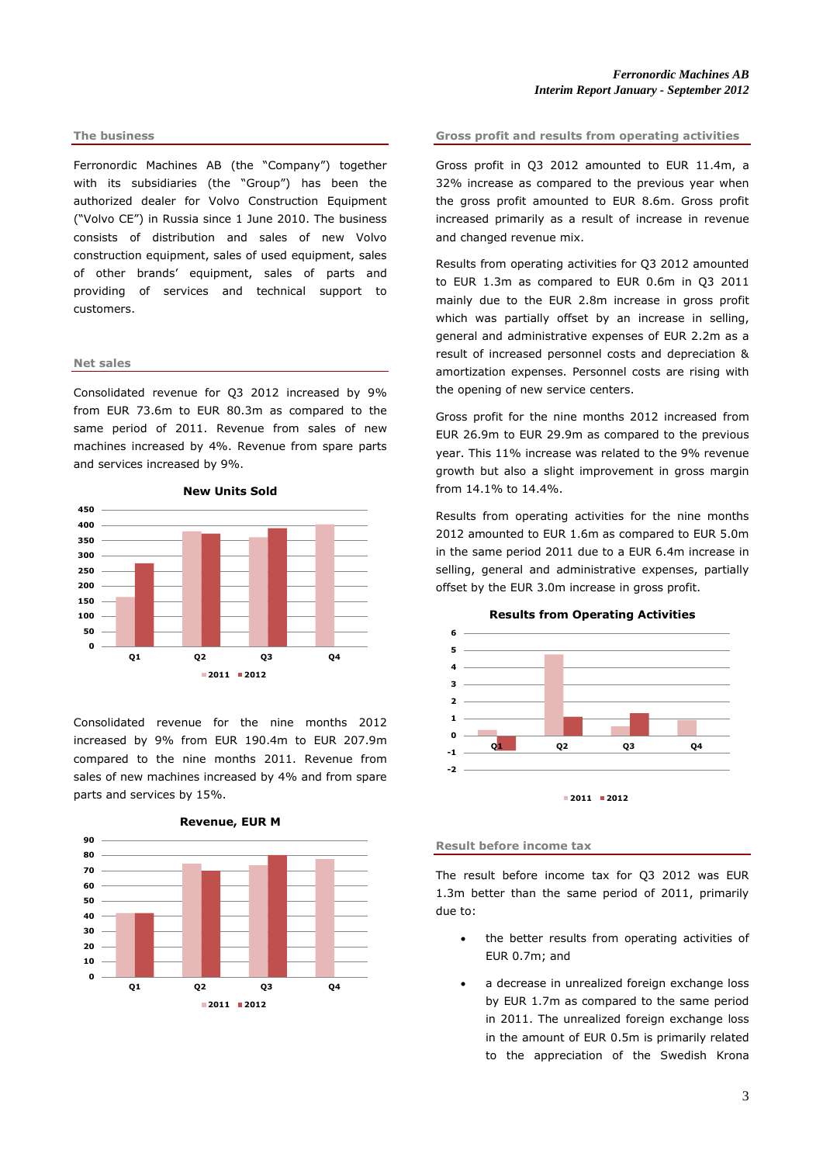#### **The business**

Ferronordic Machines AB (the "Company") together with its subsidiaries (the "Group") has been the authorized dealer for Volvo Construction Equipment ("Volvo CE") in Russia since 1 June 2010. The business consists of distribution and sales of new Volvo construction equipment, sales of used equipment, sales of other brands' equipment, sales of parts and providing of services and technical support to customers.

#### **Net sales**

Consolidated revenue for Q3 2012 increased by 9% from EUR 73.6m to EUR 80.3m as compared to the same period of 2011. Revenue from sales of new machines increased by 4%. Revenue from spare parts and services increased by 9%.



**New Units Sold**

Consolidated revenue for the nine months 2012 increased by 9% from EUR 190.4m to EUR 207.9m compared to the nine months 2011. Revenue from sales of new machines increased by 4% and from spare parts and services by 15%.





#### **Gross profit and results from operating activities**

Gross profit in Q3 2012 amounted to EUR 11.4m, a 32% increase as compared to the previous year when the gross profit amounted to EUR 8.6m. Gross profit increased primarily as a result of increase in revenue and changed revenue mix.

Results from operating activities for Q3 2012 amounted to EUR 1.3m as compared to EUR 0.6m in Q3 2011 mainly due to the EUR 2.8m increase in gross profit which was partially offset by an increase in selling, general and administrative expenses of EUR 2.2m as a result of increased personnel costs and depreciation & amortization expenses. Personnel costs are rising with the opening of new service centers.

Gross profit for the nine months 2012 increased from EUR 26.9m to EUR 29.9m as compared to the previous year. This 11% increase was related to the 9% revenue growth but also a slight improvement in gross margin from 14.1% to 14.4%.

Results from operating activities for the nine months 2012 amounted to EUR 1.6m as compared to EUR 5.0m in the same period 2011 due to a EUR 6.4m increase in selling, general and administrative expenses, partially offset by the EUR 3.0m increase in gross profit.



# **Results from Operating Activities**

#### **Result before income tax**

The result before income tax for Q3 2012 was EUR 1.3m better than the same period of 2011, primarily due to:

- the better results from operating activities of EUR 0.7m; and
- a decrease in unrealized foreign exchange loss by EUR 1.7m as compared to the same period in 2011. The unrealized foreign exchange loss in the amount of EUR 0.5m is primarily related to the appreciation of the Swedish Krona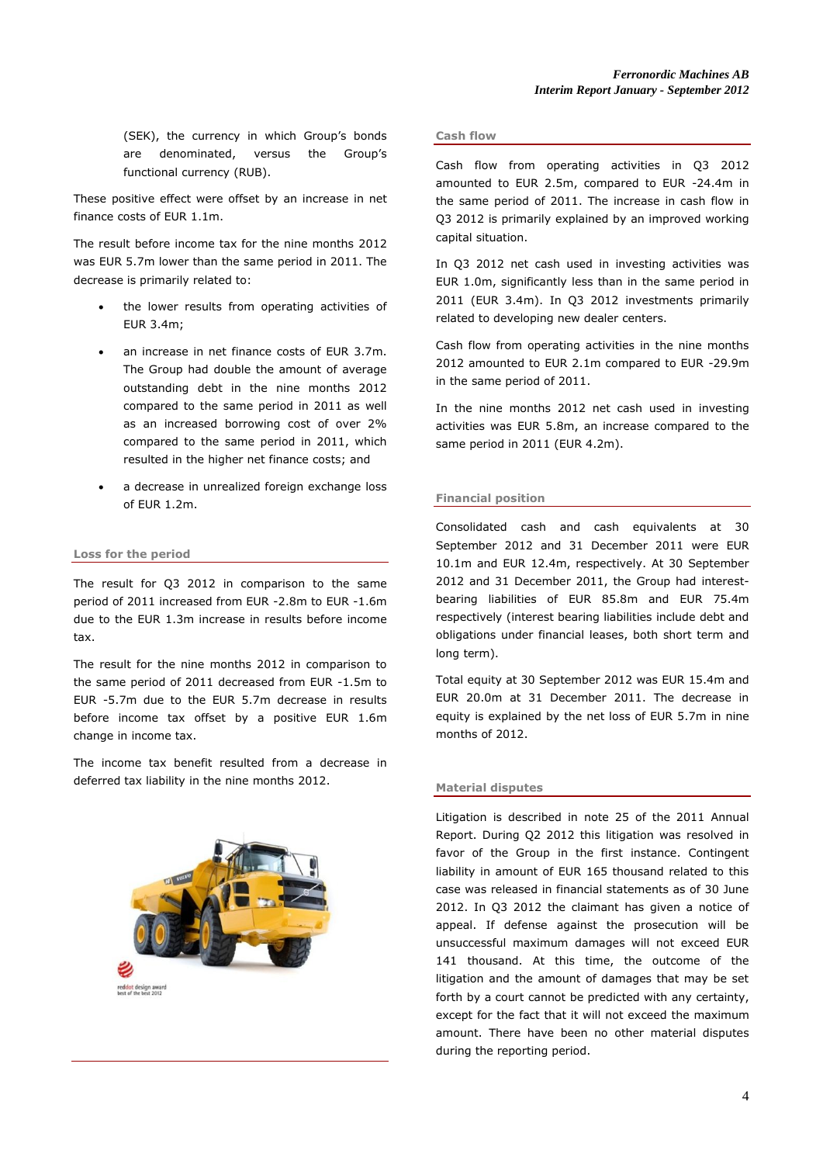(SEK), the currency in which Group's bonds are denominated, versus the Group's functional currency (RUB).

These positive effect were offset by an increase in net finance costs of EUR 1.1m.

The result before income tax for the nine months 2012 was EUR 5.7m lower than the same period in 2011. The decrease is primarily related to:

- the lower results from operating activities of EUR 3.4m;
- an increase in net finance costs of EUR 3.7m. The Group had double the amount of average outstanding debt in the nine months 2012 compared to the same period in 2011 as well as an increased borrowing cost of over 2% compared to the same period in 2011, which resulted in the higher net finance costs; and
- a decrease in unrealized foreign exchange loss of EUR 1.2m.

# **Loss for the period**

The result for Q3 2012 in comparison to the same period of 2011 increased from EUR -2.8m to EUR -1.6m due to the EUR 1.3m increase in results before income tax.

The result for the nine months 2012 in comparison to the same period of 2011 decreased from EUR -1.5m to EUR -5.7m due to the EUR 5.7m decrease in results before income tax offset by a positive EUR 1.6m change in income tax.

The income tax benefit resulted from a decrease in deferred tax liability in the nine months 2012.



#### **Cash flow**

Cash flow from operating activities in Q3 2012 amounted to EUR 2.5m, compared to EUR -24.4m in the same period of 2011. The increase in cash flow in Q3 2012 is primarily explained by an improved working capital situation.

In Q3 2012 net cash used in investing activities was EUR 1.0m, significantly less than in the same period in 2011 (EUR 3.4m). In Q3 2012 investments primarily related to developing new dealer centers.

Cash flow from operating activities in the nine months 2012 amounted to EUR 2.1m compared to EUR -29.9m in the same period of 2011.

In the nine months 2012 net cash used in investing activities was EUR 5.8m, an increase compared to the same period in 2011 (EUR 4.2m).

#### **Financial position**

Consolidated cash and cash equivalents at 30 September 2012 and 31 December 2011 were EUR 10.1m and EUR 12.4m, respectively. At 30 September 2012 and 31 December 2011, the Group had interestbearing liabilities of EUR 85.8m and EUR 75.4m respectively (interest bearing liabilities include debt and obligations under financial leases, both short term and long term).

Total equity at 30 September 2012 was EUR 15.4m and EUR 20.0m at 31 December 2011. The decrease in equity is explained by the net loss of EUR 5.7m in nine months of 2012.

#### **Material disputes**

Litigation is described in note 25 of the 2011 Annual Report. During Q2 2012 this litigation was resolved in favor of the Group in the first instance. Contingent liability in amount of EUR 165 thousand related to this case was released in financial statements as of 30 June 2012. In Q3 2012 the claimant has given a notice of appeal. If defense against the prosecution will be unsuccessful maximum damages will not exceed EUR 141 thousand. At this time, the outcome of the litigation and the amount of damages that may be set forth by a court cannot be predicted with any certainty, except for the fact that it will not exceed the maximum amount. There have been no other material disputes during the reporting period.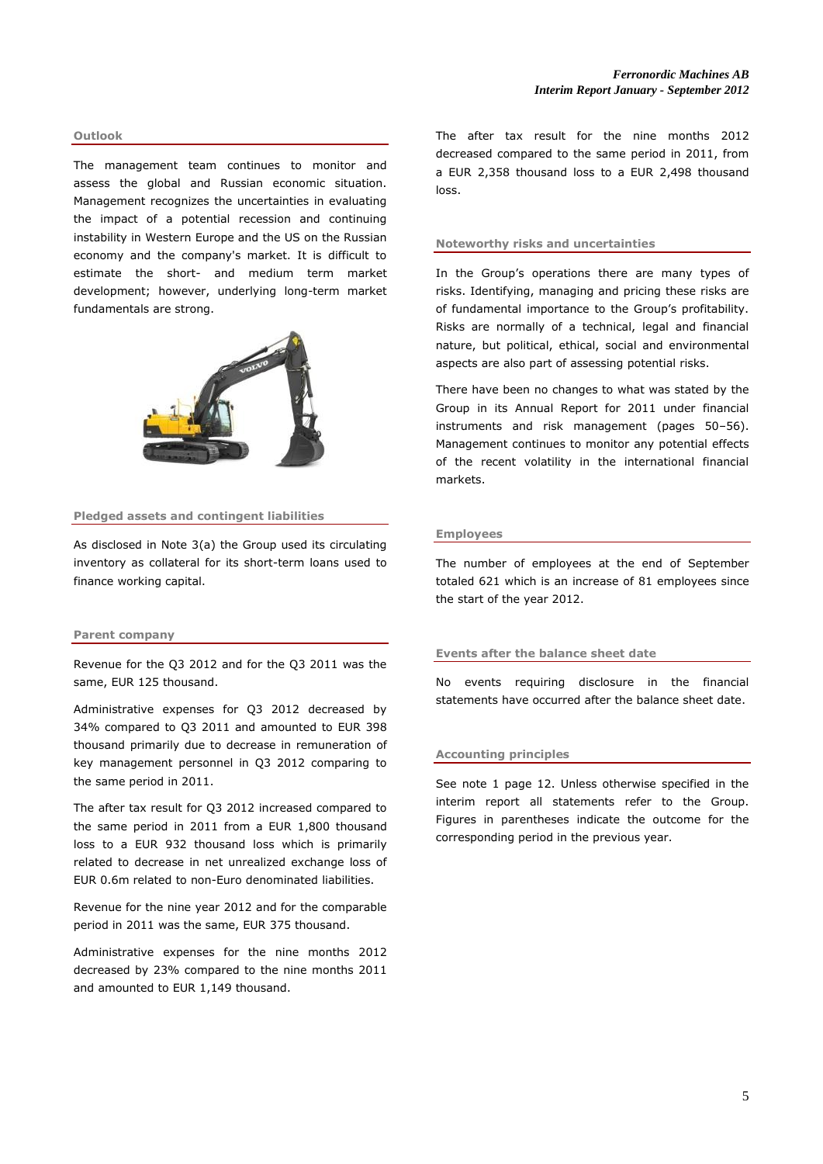#### **Outlook**

The management team continues to monitor and assess the global and Russian economic situation. Management recognizes the uncertainties in evaluating the impact of a potential recession and continuing instability in Western Europe and the US on the Russian economy and the company's market. It is difficult to estimate the short- and medium term market development; however, underlying long-term market fundamentals are strong.



### **Pledged assets and contingent liabilities**

As disclosed in Note 3(a) the Group used its circulating inventory as collateral for its short-term loans used to finance working capital.

#### **Parent company**

Revenue for the Q3 2012 and for the Q3 2011 was the same, EUR 125 thousand.

Administrative expenses for Q3 2012 decreased by 34% compared to Q3 2011 and amounted to EUR 398 thousand primarily due to decrease in remuneration of key management personnel in Q3 2012 comparing to the same period in 2011.

The after tax result for Q3 2012 increased compared to the same period in 2011 from a EUR 1,800 thousand loss to a EUR 932 thousand loss which is primarily related to decrease in net unrealized exchange loss of EUR 0.6m related to non-Euro denominated liabilities.

Revenue for the nine year 2012 and for the comparable period in 2011 was the same, EUR 375 thousand.

Administrative expenses for the nine months 2012 decreased by 23% compared to the nine months 2011 and amounted to EUR 1,149 thousand.

The after tax result for the nine months 2012 decreased compared to the same period in 2011, from a EUR 2,358 thousand loss to a EUR 2,498 thousand loss.

#### **Noteworthy risks and uncertainties**

In the Group's operations there are many types of risks. Identifying, managing and pricing these risks are of fundamental importance to the Group's profitability. Risks are normally of a technical, legal and financial nature, but political, ethical, social and environmental aspects are also part of assessing potential risks.

There have been no changes to what was stated by the Group in its Annual Report for 2011 under financial instruments and risk management (pages 50–56). Management continues to monitor any potential effects of the recent volatility in the international financial markets.

#### **Employees**

The number of employees at the end of September totaled 621 which is an increase of 81 employees since the start of the year 2012.

# **Events after the balance sheet date**

No events requiring disclosure in the financial statements have occurred after the balance sheet date.

#### **Accounting principles**

See note 1 page 12. Unless otherwise specified in the interim report all statements refer to the Group. Figures in parentheses indicate the outcome for the corresponding period in the previous year.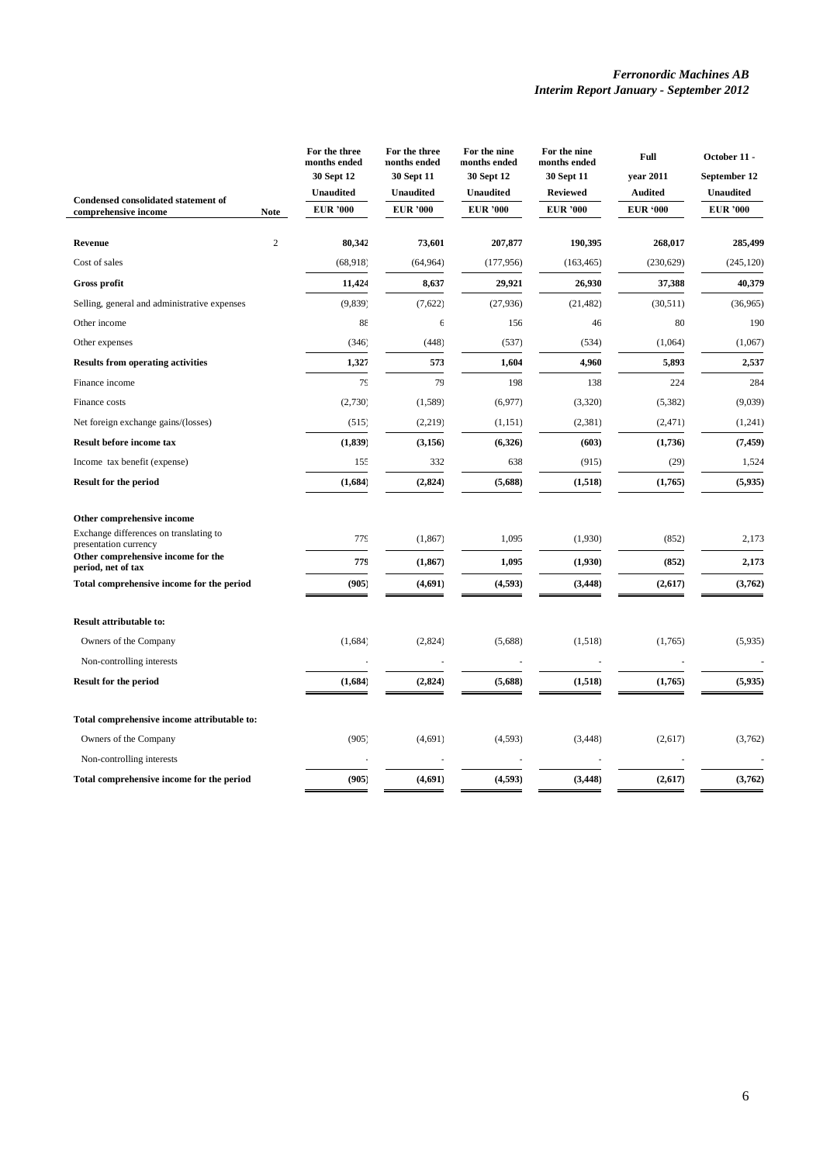|                                                                 |              | For the three<br>months ended<br>30 Sept 12 | For the three<br>nonths ended<br><b>30 Sept 11</b> | For the nine<br>months ended<br>30 Sept 12 | For the nine<br>months ended<br><b>30 Sept 11</b> | Full<br>year 2011                 | October 11 -<br>September 12        |
|-----------------------------------------------------------------|--------------|---------------------------------------------|----------------------------------------------------|--------------------------------------------|---------------------------------------------------|-----------------------------------|-------------------------------------|
| Condensed consolidated statement of                             |              | <b>Unaudited</b><br><b>EUR '000</b>         | <b>Unaudited</b><br><b>EUR '000</b>                | <b>Unaudited</b><br><b>EUR</b> '000        | <b>Reviewed</b><br><b>EUR</b> '000                | <b>Audited</b><br><b>EUR '000</b> | <b>Unaudited</b><br><b>EUR '000</b> |
| comprehensive income                                            | <b>Note</b>  |                                             |                                                    |                                            |                                                   |                                   |                                     |
| <b>Revenue</b>                                                  | $\mathbf{2}$ | 80,342                                      | 73,601                                             | 207,877                                    | 190,395                                           | 268,017                           | 285,499                             |
| Cost of sales                                                   |              | (68, 918)                                   | (64, 964)                                          | (177, 956)                                 | (163, 465)                                        | (230, 629)                        | (245, 120)                          |
| Gross profit                                                    |              | 11,424                                      | 8,637                                              | 29,921                                     | 26,930                                            | 37,388                            | 40,379                              |
| Selling, general and administrative expenses                    |              | (9, 839)                                    | (7,622)                                            | (27, 936)                                  | (21, 482)                                         | (30, 511)                         | (36,965)                            |
| Other income                                                    |              | 88                                          | 6                                                  | 156                                        | 46                                                | 80                                | 190                                 |
| Other expenses                                                  |              | (346)                                       | (448)                                              | (537)                                      | (534)                                             | (1,064)                           | (1,067)                             |
| <b>Results from operating activities</b>                        |              | 1,327                                       | 573                                                | 1,604                                      | 4,960                                             | 5,893                             | 2,537                               |
| Finance income                                                  |              | 79                                          | 79                                                 | 198                                        | 138                                               | 224                               | 284                                 |
| Finance costs                                                   |              | (2,730)                                     | (1,589)                                            | (6,977)                                    | (3,320)                                           | (5, 382)                          | (9,039)                             |
| Net foreign exchange gains/(losses)                             |              | (515)                                       | (2, 219)                                           | (1, 151)                                   | (2, 381)                                          | (2, 471)                          | (1,241)                             |
| Result before income tax                                        |              | (1, 839)                                    | (3, 156)                                           | (6,326)                                    | (603)                                             | (1,736)                           | (7, 459)                            |
| Income tax benefit (expense)                                    |              | 155                                         | 332                                                | 638                                        | (915)                                             | (29)                              | 1,524                               |
| <b>Result for the period</b>                                    |              | (1,684)                                     | (2, 824)                                           | (5,688)                                    | (1, 518)                                          | (1,765)                           | (5,935)                             |
| Other comprehensive income                                      |              |                                             |                                                    |                                            |                                                   |                                   |                                     |
| Exchange differences on translating to<br>presentation currency |              | 779                                         | (1, 867)                                           | 1,095                                      | (1,930)                                           | (852)                             | 2,173                               |
| Other comprehensive income for the<br>period, net of tax        |              | 779                                         | (1, 867)                                           | 1,095                                      | (1,930)                                           | (852)                             | 2,173                               |
| Total comprehensive income for the period                       |              | (905)                                       | (4,691)                                            | (4, 593)                                   | (3, 448)                                          | (2,617)                           | (3,762)                             |
| <b>Result attributable to:</b>                                  |              |                                             |                                                    |                                            |                                                   |                                   |                                     |
| Owners of the Company                                           |              | (1,684)                                     | (2,824)                                            | (5,688)                                    | (1,518)                                           | (1,765)                           | (5,935)                             |
| Non-controlling interests                                       |              |                                             |                                                    |                                            |                                                   |                                   |                                     |
| <b>Result for the period</b>                                    |              | (1,684)                                     | (2, 824)                                           | (5,688)                                    | (1, 518)                                          | (1,765)                           | (5, 935)                            |
| Total comprehensive income attributable to:                     |              |                                             |                                                    |                                            |                                                   |                                   |                                     |
| Owners of the Company                                           |              | (905)                                       | (4,691)                                            | (4, 593)                                   | (3, 448)                                          | (2,617)                           | (3,762)                             |
| Non-controlling interests                                       |              |                                             |                                                    |                                            |                                                   |                                   |                                     |
| Total comprehensive income for the period                       |              | (905)                                       | (4,691)                                            | (4, 593)                                   | (3, 448)                                          | (2,617)                           | (3,762)                             |

 $\overline{a}$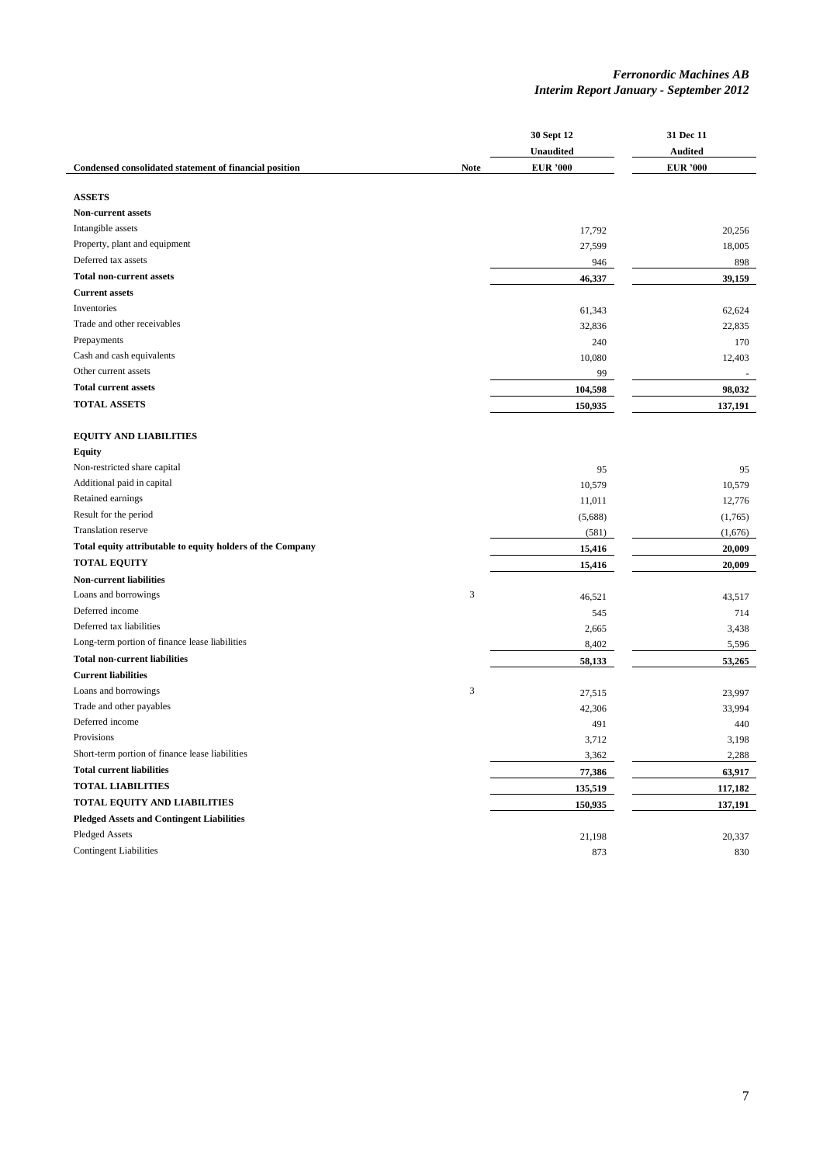|                                                            |             | 30 Sept 12<br>Unaudited | 31 Dec 11<br><b>Audited</b> |
|------------------------------------------------------------|-------------|-------------------------|-----------------------------|
| Condensed consolidated statement of financial position     | <b>Note</b> | <b>EUR '000</b>         | <b>EUR '000</b>             |
|                                                            |             |                         |                             |
| <b>ASSETS</b>                                              |             |                         |                             |
| <b>Non-current assets</b>                                  |             |                         |                             |
| Intangible assets                                          |             | 17,792                  | 20,256                      |
| Property, plant and equipment                              |             | 27,599                  | 18,005                      |
| Deferred tax assets                                        |             | 946                     | 898                         |
| <b>Total non-current assets</b>                            |             | 46,337                  | 39,159                      |
| <b>Current assets</b>                                      |             |                         |                             |
| Inventories                                                |             | 61,343                  | 62.624                      |
| Trade and other receivables                                |             | 32,836                  | 22,835                      |
| Prepayments                                                |             | 240                     | 170                         |
| Cash and cash equivalents                                  |             | 10,080                  | 12,403                      |
| Other current assets                                       |             | 99                      |                             |
| <b>Total current assets</b>                                |             | 104,598                 | 98,032                      |
| <b>TOTAL ASSETS</b>                                        |             | 150,935                 | 137,191                     |
|                                                            |             |                         |                             |
| <b>EQUITY AND LIABILITIES</b>                              |             |                         |                             |
| <b>Equity</b>                                              |             |                         |                             |
| Non-restricted share capital                               |             | 95                      | 95                          |
| Additional paid in capital                                 |             | 10,579                  | 10,579                      |
| Retained earnings                                          |             | 11,011                  | 12,776                      |
| Result for the period                                      |             | (5,688)                 | (1,765)                     |
| Translation reserve                                        |             | (581)                   | (1,676)                     |
| Total equity attributable to equity holders of the Company |             | 15,416                  | 20,009                      |
| <b>TOTAL EQUITY</b>                                        |             | 15,416                  | 20,009                      |
| <b>Non-current liabilities</b>                             |             |                         |                             |
| Loans and borrowings                                       | 3           | 46,521                  | 43,517                      |
| Deferred income                                            |             | 545                     | 714                         |
| Deferred tax liabilities                                   |             | 2,665                   | 3,438                       |
| Long-term portion of finance lease liabilities             |             | 8,402                   | 5,596                       |
| <b>Total non-current liabilities</b>                       |             | 58,133                  | 53,265                      |
| <b>Current liabilities</b>                                 |             |                         |                             |
| Loans and borrowings                                       | 3           | 27,515                  | 23,997                      |
| Trade and other payables                                   |             | 42,306                  | 33,994                      |
| Deferred income                                            |             | 491                     | 440                         |
| Provisions                                                 |             | 3,712                   | 3,198                       |
| Short-term portion of finance lease liabilities            |             | 3,362                   | 2,288                       |
| <b>Total current liabilities</b>                           |             | 77,386                  | 63,917                      |
| <b>TOTAL LIABILITIES</b>                                   |             |                         | 117,182                     |
| <b>TOTAL EQUITY AND LIABILITIES</b>                        |             | 135,519                 | 137,191                     |
| <b>Pledged Assets and Contingent Liabilities</b>           |             | 150,935                 |                             |
| <b>Pledged Assets</b>                                      |             | 21,198                  | 20,337                      |
| <b>Contingent Liabilities</b>                              |             | 873                     | 830                         |
|                                                            |             |                         |                             |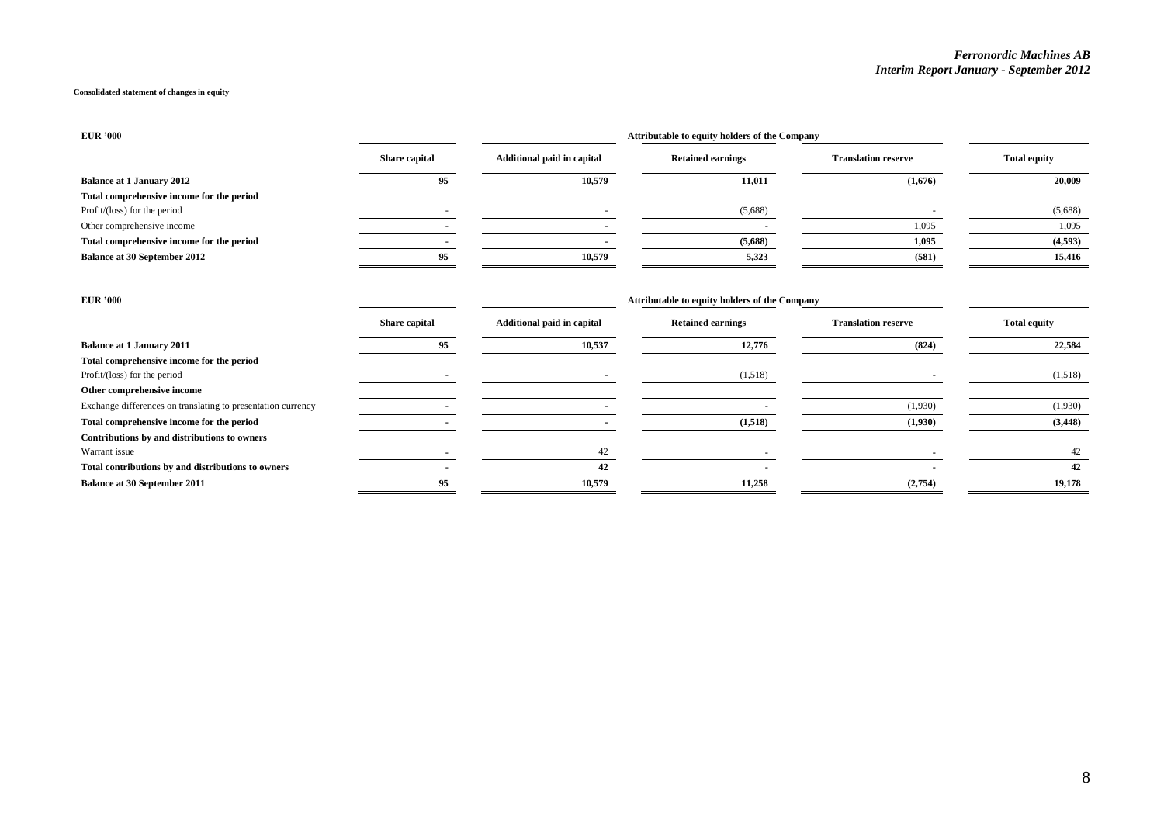#### **Consolidated statement of changes in equity**

**Contributions by and distributions to owners**

| <b>EUR '000</b>                                              |                          |                                   | Attributable to equity holders of the Company |                            |                     |
|--------------------------------------------------------------|--------------------------|-----------------------------------|-----------------------------------------------|----------------------------|---------------------|
|                                                              | Share capital            | <b>Additional paid in capital</b> | <b>Retained earnings</b>                      | <b>Translation reserve</b> | <b>Total equity</b> |
| <b>Balance at 1 January 2012</b>                             | 95                       | 10,579                            | 11,011                                        | (1,676)                    | 20,009              |
| Total comprehensive income for the period                    |                          |                                   |                                               |                            |                     |
| Profit/(loss) for the period                                 |                          |                                   | (5,688)                                       |                            | (5,688)             |
| Other comprehensive income                                   |                          |                                   |                                               | 1,095                      | 1,095               |
| Total comprehensive income for the period                    |                          |                                   | (5,688)                                       | 1,095                      | (4,593)             |
| <b>Balance at 30 September 2012</b>                          | 95                       | 10,579                            | 5,323                                         | (581)                      | 15,416              |
| <b>EUR '000</b>                                              |                          |                                   | Attributable to equity holders of the Company |                            |                     |
|                                                              | Share capital            | <b>Additional paid in capital</b> | <b>Retained earnings</b>                      | <b>Translation reserve</b> | <b>Total equity</b> |
| <b>Balance at 1 January 2011</b>                             | 95                       | 10,537                            | 12,776                                        | (824)                      | 22,584              |
| Total comprehensive income for the period                    |                          |                                   |                                               |                            |                     |
| Profit/(loss) for the period                                 |                          |                                   | (1,518)                                       |                            | (1,518)             |
| Other comprehensive income                                   |                          |                                   |                                               |                            |                     |
| Exchange differences on translating to presentation currency | $\overline{\phantom{a}}$ | $\overline{\phantom{a}}$          | $\overline{\phantom{a}}$                      | (1,930)                    | (1,930)             |

**Total comprehensive income for the period** (1,438) (3,448)

Warrant issue **-** 42 **- 12** - 42 **- 12** - 42 **- 12** - 42 **- 12** - 42 **- 12** - 42 **- 12** - 42 **- 12** - 42 **- 12** - 42 **- 12** - 12 **Total contributions by and distributions to owners** 42 **Balance at 30 September 2011** 19,178 19,178 19,178 19,178 19,178 19,178 19,178 19,178 19,178 19,178 19,178 19,178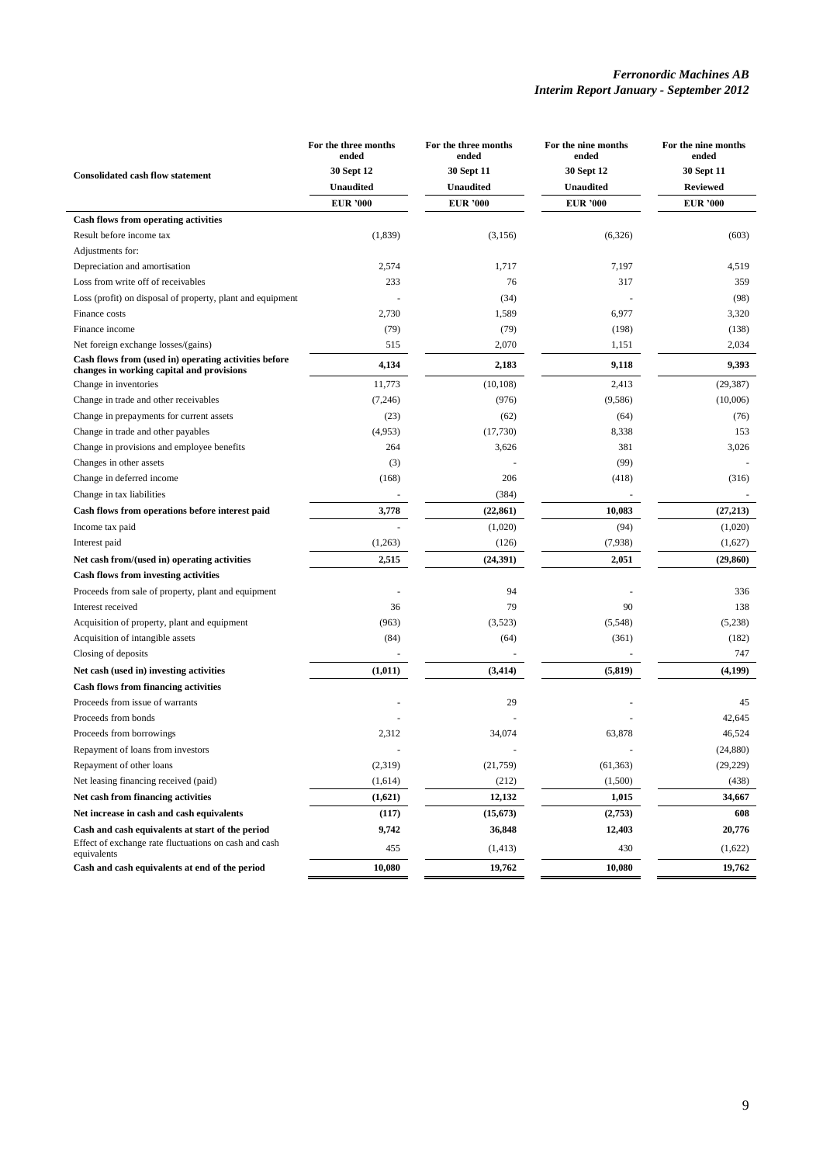| <b>Consolidated cash flow statement</b>                                                            | For the three months<br>ended<br>30 Sept 12 | For the three months<br>ended<br>30 Sept 11 | For the nine months<br>ended<br>30 Sept 12 | For the nine months<br>ended<br>30 Sept 11 |
|----------------------------------------------------------------------------------------------------|---------------------------------------------|---------------------------------------------|--------------------------------------------|--------------------------------------------|
|                                                                                                    | Unaudited                                   | <b>Unaudited</b>                            | <b>Unaudited</b>                           | <b>Reviewed</b>                            |
|                                                                                                    | <b>EUR '000</b>                             | <b>EUR '000</b>                             | <b>EUR '000</b>                            | <b>EUR '000</b>                            |
| Cash flows from operating activities                                                               |                                             |                                             |                                            |                                            |
| Result before income tax                                                                           | (1,839)                                     | (3, 156)                                    | (6, 326)                                   | (603)                                      |
| Adjustments for:                                                                                   |                                             |                                             |                                            |                                            |
| Depreciation and amortisation                                                                      | 2,574                                       | 1,717                                       | 7,197                                      | 4,519                                      |
| Loss from write off of receivables                                                                 | 233                                         | 76                                          | 317                                        | 359                                        |
| Loss (profit) on disposal of property, plant and equipment                                         |                                             | (34)                                        |                                            | (98)                                       |
| Finance costs                                                                                      | 2,730                                       | 1,589                                       | 6,977                                      | 3,320                                      |
| Finance income                                                                                     | (79)                                        | (79)                                        | (198)                                      | (138)                                      |
| Net foreign exchange losses/(gains)                                                                | 515                                         | 2,070                                       | 1,151                                      | 2,034                                      |
| Cash flows from (used in) operating activities before<br>changes in working capital and provisions | 4,134                                       | 2,183                                       | 9,118                                      | 9,393                                      |
| Change in inventories                                                                              | 11,773                                      | (10, 108)                                   | 2,413                                      | (29, 387)                                  |
| Change in trade and other receivables                                                              | (7,246)                                     | (976)                                       | (9, 586)                                   | (10,006)                                   |
| Change in prepayments for current assets                                                           | (23)                                        | (62)                                        | (64)                                       | (76)                                       |
| Change in trade and other payables                                                                 | (4,953)                                     | (17,730)                                    | 8,338                                      | 153                                        |
| Change in provisions and employee benefits                                                         | 264                                         | 3,626                                       | 381                                        | 3,026                                      |
| Changes in other assets                                                                            | (3)                                         |                                             | (99)                                       |                                            |
| Change in deferred income                                                                          | (168)                                       | 206                                         | (418)                                      | (316)                                      |
| Change in tax liabilities                                                                          |                                             | (384)                                       |                                            |                                            |
| Cash flows from operations before interest paid                                                    | 3,778                                       | (22, 861)                                   | 10,083                                     | (27, 213)                                  |
| Income tax paid                                                                                    |                                             | (1,020)                                     | (94)                                       | (1,020)                                    |
| Interest paid                                                                                      | (1,263)                                     | (126)                                       | (7,938)                                    | (1,627)                                    |
| Net cash from/(used in) operating activities                                                       | 2,515                                       | (24, 391)                                   | 2,051                                      | (29, 860)                                  |
| <b>Cash flows from investing activities</b>                                                        |                                             |                                             |                                            |                                            |
| Proceeds from sale of property, plant and equipment                                                |                                             | 94                                          |                                            | 336                                        |
| Interest received                                                                                  | 36                                          | 79                                          | 90                                         | 138                                        |
| Acquisition of property, plant and equipment                                                       | (963)                                       | (3,523)                                     | (5, 548)                                   | (5,238)                                    |
| Acquisition of intangible assets                                                                   | (84)                                        | (64)                                        | (361)                                      | (182)                                      |
| Closing of deposits                                                                                |                                             |                                             |                                            | 747                                        |
| Net cash (used in) investing activities                                                            | (1,011)                                     | (3, 414)                                    | (5, 819)                                   | (4,199)                                    |
| <b>Cash flows from financing activities</b>                                                        |                                             |                                             |                                            |                                            |
| Proceeds from issue of warrants                                                                    |                                             | 29                                          |                                            | 45                                         |
| Proceeds from bonds                                                                                |                                             |                                             |                                            | 42,645                                     |
| Proceeds from borrowings                                                                           | 2,312                                       | 34,074                                      | 63,878                                     | 46,524                                     |
| Repayment of loans from investors                                                                  |                                             |                                             |                                            | (24, 880)                                  |
| Repayment of other loans                                                                           | (2,319)                                     | (21,759)                                    | (61, 363)                                  | (29, 229)                                  |
| Net leasing financing received (paid)                                                              | (1,614)                                     | (212)                                       | (1,500)                                    | (438)                                      |
| Net cash from financing activities                                                                 | (1,621)                                     | 12,132                                      | 1,015                                      | 34,667                                     |
| Net increase in cash and cash equivalents                                                          | (117)                                       | (15, 673)                                   | (2,753)                                    | 608                                        |
| Cash and cash equivalents at start of the period                                                   | 9,742                                       | 36,848                                      | 12,403                                     | 20,776                                     |
| Effect of exchange rate fluctuations on cash and cash<br>equivalents                               | 455                                         | (1, 413)                                    | 430                                        | (1,622)                                    |
| Cash and cash equivalents at end of the period                                                     | 10,080                                      | 19,762                                      | 10,080                                     | 19,762                                     |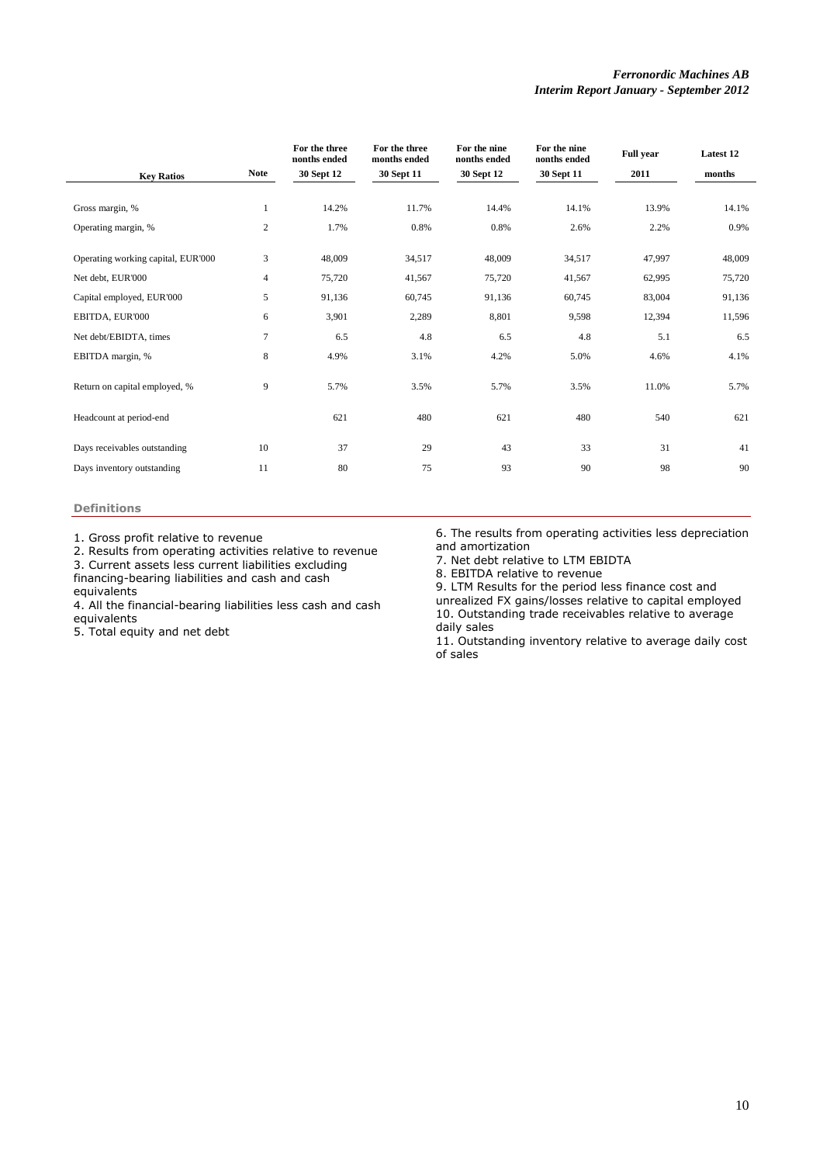|                                    |                | For the three<br>nonths ended | For the three<br>months ended | For the nine<br>nonths ended | For the nine<br>nonths ended | <b>Full year</b> | Latest 12 |
|------------------------------------|----------------|-------------------------------|-------------------------------|------------------------------|------------------------------|------------------|-----------|
| <b>Key Ratios</b>                  | <b>Note</b>    | 30 Sept 12                    | 30 Sept 11                    | 30 Sept 12                   | 30 Sept 11                   | 2011             | months    |
|                                    |                |                               |                               |                              |                              |                  |           |
| Gross margin, %                    | 1              | 14.2%                         | 11.7%                         | 14.4%                        | 14.1%                        | 13.9%            | 14.1%     |
| Operating margin, %                | 2              | 1.7%                          | 0.8%                          | 0.8%                         | 2.6%                         | 2.2%             | 0.9%      |
| Operating working capital, EUR'000 | 3              | 48,009                        | 34,517                        | 48,009                       | 34,517                       | 47,997           | 48,009    |
| Net debt, EUR'000                  | $\overline{4}$ | 75,720                        | 41,567                        | 75,720                       | 41,567                       | 62,995           | 75,720    |
| Capital employed, EUR'000          | 5              | 91,136                        | 60,745                        | 91,136                       | 60,745                       | 83,004           | 91,136    |
| EBITDA, EUR'000                    | 6              | 3,901                         | 2,289                         | 8,801                        | 9,598                        | 12,394           | 11,596    |
| Net debt/EBIDTA, times             | $\overline{7}$ | 6.5                           | 4.8                           | 6.5                          | 4.8                          | 5.1              | 6.5       |
| EBITDA margin, %                   | 8              | 4.9%                          | 3.1%                          | 4.2%                         | 5.0%                         | 4.6%             | 4.1%      |
| Return on capital employed, %      | 9              | 5.7%                          | 3.5%                          | 5.7%                         | 3.5%                         | 11.0%            | 5.7%      |
| Headcount at period-end            |                | 621                           | 480                           | 621                          | 480                          | 540              | 621       |
| Days receivables outstanding       | 10             | 37                            | 29                            | 43                           | 33                           | 31               | 41        |
| Days inventory outstanding         | 11             | 80                            | 75                            | 93                           | 90                           | 98               | 90        |
|                                    |                |                               |                               |                              |                              |                  |           |

# **Definitions**

1. Gross profit relative to revenue

2. Results from operating activities relative to revenue

3. Current assets less current liabilities excluding

financing-bearing liabilities and cash and cash equivalents

4. All the financial-bearing liabilities less cash and cash equivalents

5. Total equity and net debt

6. The results from operating activities less depreciation and amortization

7. Net debt relative to LTM EBIDTA

8. EBITDA relative to revenue

9. LTM Results for the period less finance cost and unrealized FX gains/losses relative to capital employed 10. Outstanding trade receivables relative to average daily sales

11. Outstanding inventory relative to average daily cost of sales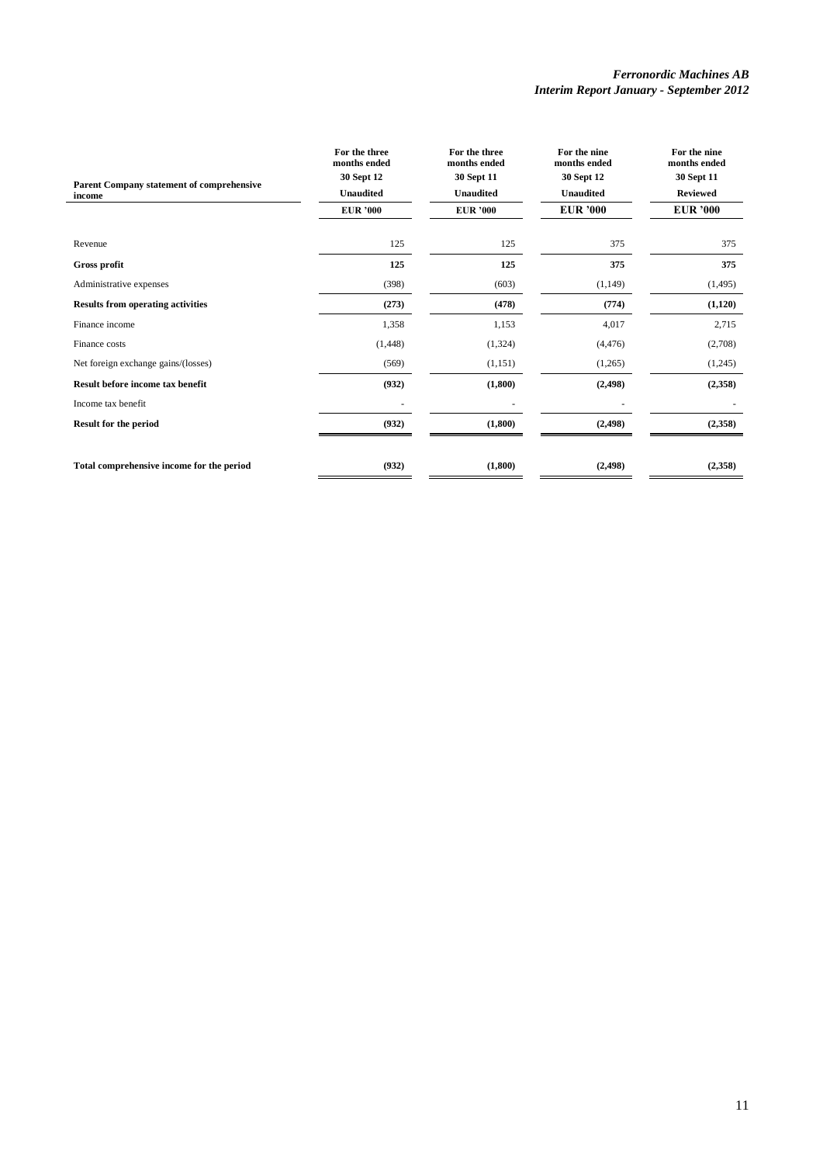| Parent Company statement of comprehensive<br>income | For the three<br>months ended<br>30 Sept 12<br><b>Unaudited</b><br><b>EUR</b> '000 | For the three<br>months ended<br>30 Sept 11<br><b>Unaudited</b><br><b>EUR '000</b> | For the nine<br>months ended<br>30 Sept 12<br><b>Unaudited</b><br><b>EUR '000</b> | For the nine<br>months ended<br>30 Sept 11<br><b>Reviewed</b><br><b>EUR '000</b> |
|-----------------------------------------------------|------------------------------------------------------------------------------------|------------------------------------------------------------------------------------|-----------------------------------------------------------------------------------|----------------------------------------------------------------------------------|
| Revenue                                             | 125                                                                                | 125                                                                                | 375                                                                               | 375                                                                              |
| <b>Gross profit</b>                                 | 125                                                                                | 125                                                                                | 375                                                                               | 375                                                                              |
| Administrative expenses                             | (398)                                                                              | (603)                                                                              | (1, 149)                                                                          | (1, 495)                                                                         |
| <b>Results from operating activities</b>            | (273)                                                                              | (478)                                                                              | (774)                                                                             | (1,120)                                                                          |
| Finance income                                      | 1,358                                                                              | 1,153                                                                              | 4,017                                                                             | 2,715                                                                            |
| Finance costs                                       | (1, 448)                                                                           | (1,324)                                                                            | (4, 476)                                                                          | (2,708)                                                                          |
| Net foreign exchange gains/(losses)                 | (569)                                                                              | (1,151)                                                                            | (1,265)                                                                           | (1,245)                                                                          |
| Result before income tax benefit                    | (932)                                                                              | (1,800)                                                                            | (2, 498)                                                                          | (2,358)                                                                          |
| Income tax benefit                                  |                                                                                    |                                                                                    |                                                                                   |                                                                                  |
| <b>Result for the period</b>                        | (932)                                                                              | (1,800)                                                                            | (2, 498)                                                                          | (2,358)                                                                          |
| Total comprehensive income for the period           | (932)                                                                              | (1,800)                                                                            | (2, 498)                                                                          | (2,358)                                                                          |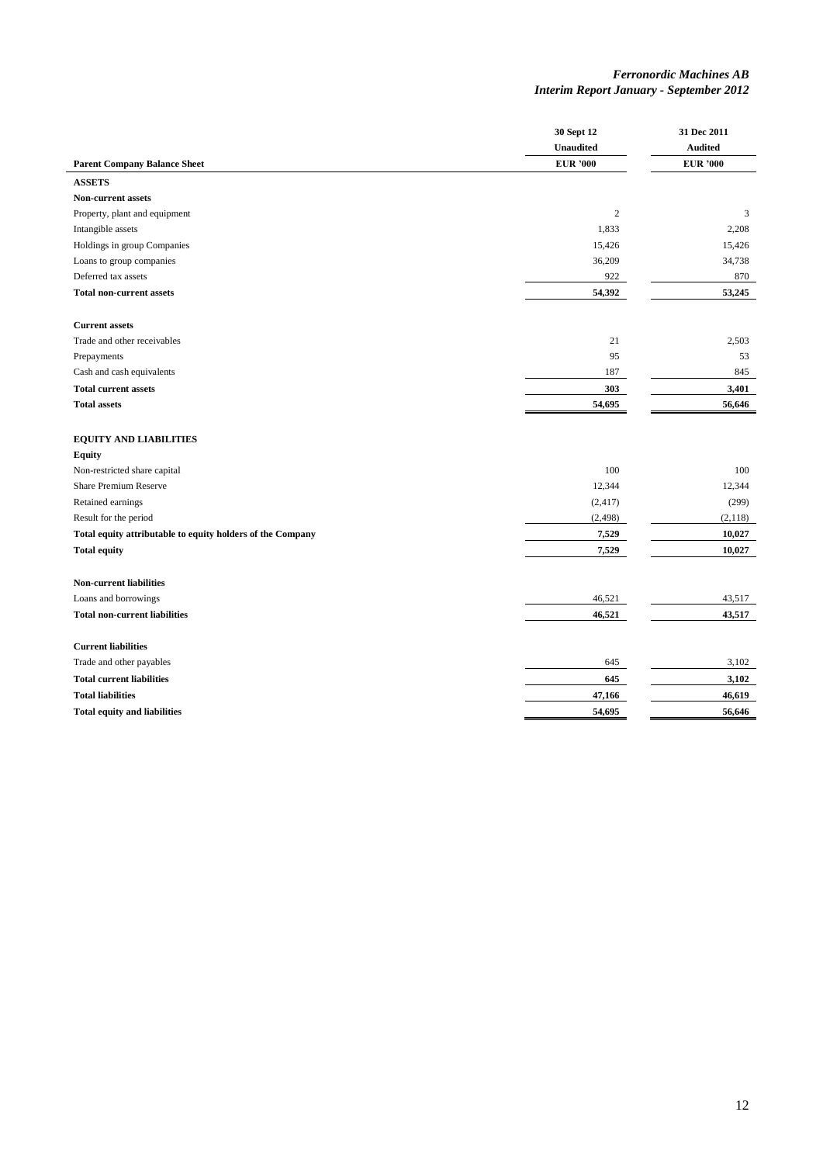|                                                            | 30 Sept 12<br><b>Unaudited</b> | 31 Dec 2011<br><b>Audited</b> |
|------------------------------------------------------------|--------------------------------|-------------------------------|
| <b>Parent Company Balance Sheet</b>                        | <b>EUR</b> '000                | <b>EUR '000</b>               |
| <b>ASSETS</b>                                              |                                |                               |
| <b>Non-current assets</b>                                  |                                |                               |
| Property, plant and equipment                              | $\mathbf{2}$                   | 3                             |
| Intangible assets                                          | 1,833                          | 2,208                         |
| Holdings in group Companies                                | 15,426                         | 15,426                        |
| Loans to group companies                                   | 36,209                         | 34,738                        |
| Deferred tax assets                                        | 922                            | 870                           |
| <b>Total non-current assets</b>                            | 54,392                         | 53,245                        |
| <b>Current assets</b>                                      |                                |                               |
| Trade and other receivables                                | 21                             | 2,503                         |
| Prepayments                                                | 95                             | 53                            |
| Cash and cash equivalents                                  | 187                            | 845                           |
| <b>Total current assets</b>                                | 303                            | 3,401                         |
| <b>Total assets</b>                                        | 54,695                         | 56,646                        |
| <b>EQUITY AND LIABILITIES</b>                              |                                |                               |
| <b>Equity</b>                                              |                                |                               |
| Non-restricted share capital                               | 100                            | 100                           |
| <b>Share Premium Reserve</b>                               | 12,344                         | 12,344                        |
| Retained earnings                                          | (2, 417)                       | (299)                         |
| Result for the period                                      | (2, 498)                       | (2,118)                       |
| Total equity attributable to equity holders of the Company | 7,529                          | 10,027                        |
| <b>Total equity</b>                                        | 7,529                          | 10,027                        |
| <b>Non-current liabilities</b>                             |                                |                               |
| Loans and borrowings                                       | 46,521                         | 43,517                        |
| <b>Total non-current liabilities</b>                       | 46,521                         | 43,517                        |
| <b>Current liabilities</b>                                 |                                |                               |
| Trade and other payables                                   | 645                            | 3,102                         |
| <b>Total current liabilities</b>                           | 645                            | 3,102                         |
| <b>Total liabilities</b>                                   | 47,166                         | 46,619                        |
| <b>Total equity and liabilities</b>                        | 54,695                         | 56,646                        |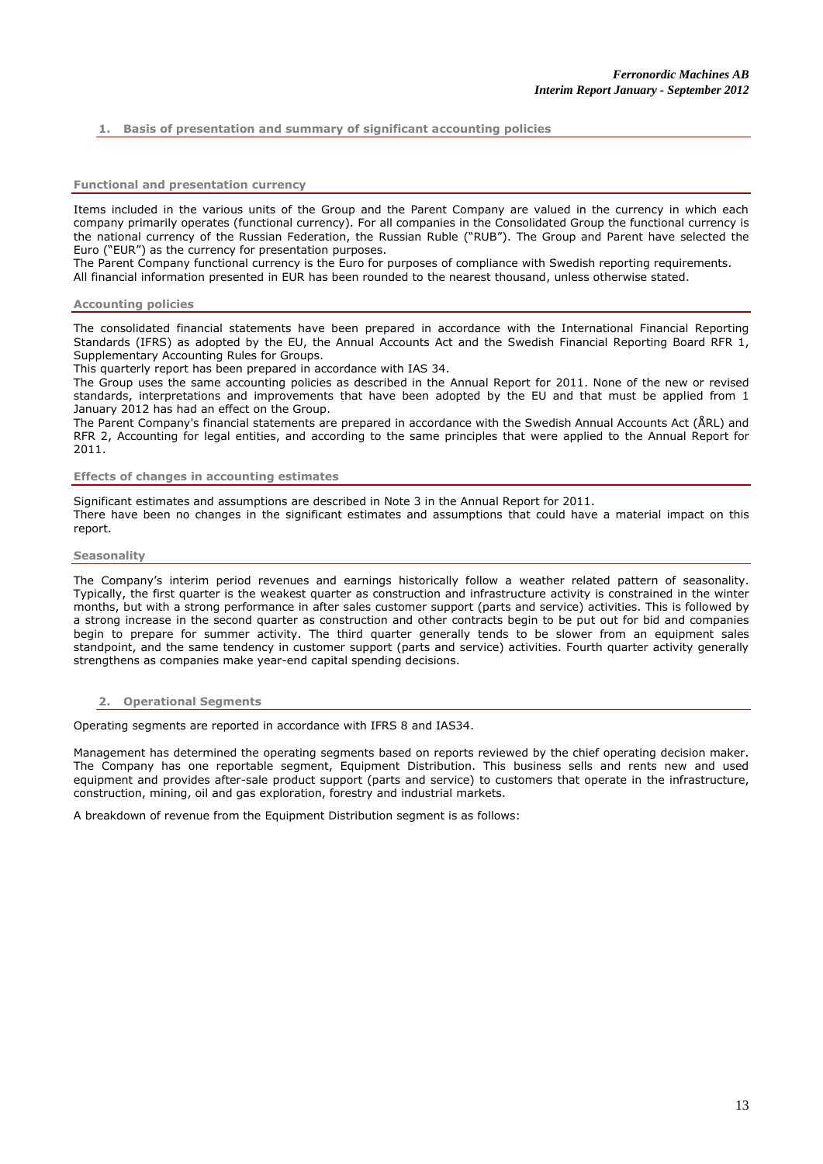# **1. Basis of presentation and summary of significant accounting policies**

#### **Functional and presentation currency**

Items included in the various units of the Group and the Parent Company are valued in the currency in which each company primarily operates (functional currency). For all companies in the Consolidated Group the functional currency is the national currency of the Russian Federation, the Russian Ruble ("RUB"). The Group and Parent have selected the Euro ("EUR") as the currency for presentation purposes.

The Parent Company functional currency is the Euro for purposes of compliance with Swedish reporting requirements. All financial information presented in EUR has been rounded to the nearest thousand, unless otherwise stated.

#### **Accounting policies**

The consolidated financial statements have been prepared in accordance with the International Financial Reporting Standards (IFRS) as adopted by the EU, the Annual Accounts Act and the Swedish Financial Reporting Board RFR 1, Supplementary Accounting Rules for Groups.

This quarterly report has been prepared in accordance with IAS 34.

The Group uses the same accounting policies as described in the Annual Report for 2011. None of the new or revised standards, interpretations and improvements that have been adopted by the EU and that must be applied from 1 January 2012 has had an effect on the Group.

The Parent Company's financial statements are prepared in accordance with the Swedish Annual Accounts Act (ÅRL) and RFR 2, Accounting for legal entities, and according to the same principles that were applied to the Annual Report for 2011.

#### **Effects of changes in accounting estimates**

Significant estimates and assumptions are described in Note 3 in the Annual Report for 2011.

There have been no changes in the significant estimates and assumptions that could have a material impact on this report.

#### **Seasonality**

The Company's interim period revenues and earnings historically follow a weather related pattern of seasonality. Typically, the first quarter is the weakest quarter as construction and infrastructure activity is constrained in the winter months, but with a strong performance in after sales customer support (parts and service) activities. This is followed by a strong increase in the second quarter as construction and other contracts begin to be put out for bid and companies begin to prepare for summer activity. The third quarter generally tends to be slower from an equipment sales standpoint, and the same tendency in customer support (parts and service) activities. Fourth quarter activity generally strengthens as companies make year-end capital spending decisions.

### **2. Operational Segments**

Operating segments are reported in accordance with IFRS 8 and IAS34.

Management has determined the operating segments based on reports reviewed by the chief operating decision maker. The Company has one reportable segment, Equipment Distribution. This business sells and rents new and used equipment and provides after-sale product support (parts and service) to customers that operate in the infrastructure, construction, mining, oil and gas exploration, forestry and industrial markets.

A breakdown of revenue from the Equipment Distribution segment is as follows: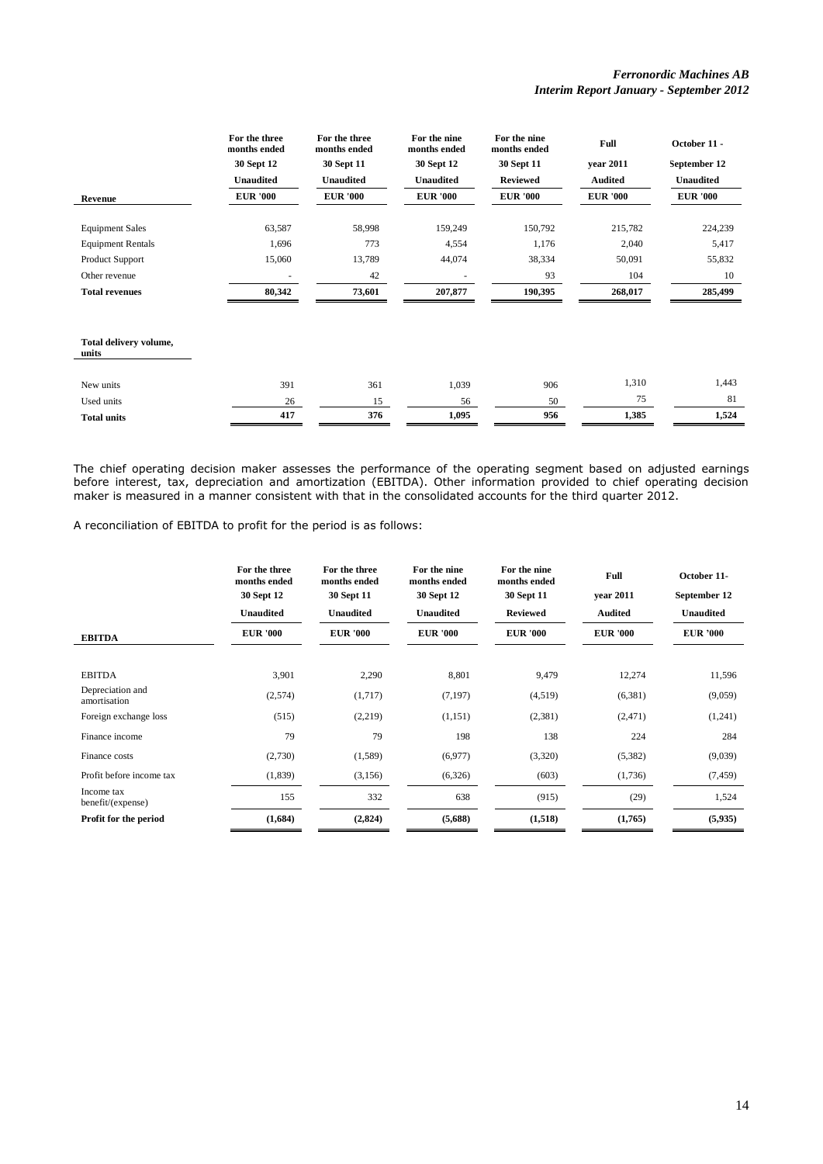|                                 | For the three<br>months ended | For the three<br>months ended | For the nine<br>months ended | For the nine<br>months ended | Full            | October 11 -     |
|---------------------------------|-------------------------------|-------------------------------|------------------------------|------------------------------|-----------------|------------------|
|                                 | 30 Sept 12                    | 30 Sept 11                    | 30 Sept 12                   | 30 Sept 11                   | year 2011       | September 12     |
|                                 | <b>Unaudited</b>              | <b>Unaudited</b>              | <b>Unaudited</b>             | <b>Reviewed</b>              | <b>Audited</b>  | <b>Unaudited</b> |
| Revenue                         | <b>EUR '000</b>               | <b>EUR '000</b>               | <b>EUR '000</b>              | <b>EUR</b> '000              | <b>EUR '000</b> | <b>EUR '000</b>  |
|                                 |                               |                               |                              |                              |                 |                  |
| <b>Equipment Sales</b>          | 63,587                        | 58,998                        | 159,249                      | 150,792                      | 215,782         | 224,239          |
| <b>Equipment Rentals</b>        | 1,696                         | 773                           | 4,554                        | 1,176                        | 2,040           | 5,417            |
| Product Support                 | 15,060                        | 13,789                        | 44,074                       | 38,334                       | 50,091          | 55,832           |
| Other revenue                   |                               | 42                            |                              | 93                           | 104             | 10               |
| <b>Total revenues</b>           | 80,342                        | 73,601                        | 207,877                      | 190,395                      | 268,017         | 285,499          |
|                                 |                               |                               |                              |                              |                 |                  |
| Total delivery volume,<br>units |                               |                               |                              |                              |                 |                  |
| New units                       | 391                           | 361                           | 1,039                        | 906                          | 1,310           | 1,443            |
| Used units                      | 26                            | 15                            | 56                           | 50                           | 75              | 81               |
| <b>Total units</b>              | 417                           | 376                           | 1,095                        | 956                          | 1,385           | 1,524            |

The chief operating decision maker assesses the performance of the operating segment based on adjusted earnings before interest, tax, depreciation and amortization (EBITDA). Other information provided to chief operating decision maker is measured in a manner consistent with that in the consolidated accounts for the third quarter 2012.

A reconciliation of EBITDA to profit for the period is as follows:

|                                  | For the three<br>months ended<br>30 Sept 12<br><b>Unaudited</b> | For the three<br>months ended<br>30 Sept 11<br><b>Unaudited</b> | For the nine<br>months ended<br>30 Sept 12<br><b>Unaudited</b> | For the nine<br>months ended<br>30 Sept 11<br><b>Reviewed</b> | Full<br>vear 2011<br><b>Audited</b> | October 11-<br>September 12<br><b>Unaudited</b> |
|----------------------------------|-----------------------------------------------------------------|-----------------------------------------------------------------|----------------------------------------------------------------|---------------------------------------------------------------|-------------------------------------|-------------------------------------------------|
| <b>EBITDA</b>                    | <b>EUR '000</b>                                                 | <b>EUR '000</b>                                                 | <b>EUR</b> '000                                                | <b>EUR '000</b>                                               | <b>EUR '000</b>                     | <b>EUR '000</b>                                 |
| <b>EBITDA</b>                    | 3,901                                                           | 2,290                                                           | 8,801                                                          | 9,479                                                         | 12,274                              | 11,596                                          |
| Depreciation and<br>amortisation | (2,574)                                                         | (1,717)                                                         | (7, 197)                                                       | (4,519)                                                       | (6,381)                             | (9,059)                                         |
| Foreign exchange loss            | (515)                                                           | (2,219)                                                         | (1,151)                                                        | (2, 381)                                                      | (2, 471)                            | (1,241)                                         |
| Finance income                   | 79                                                              | 79                                                              | 198                                                            | 138                                                           | 224                                 | 284                                             |
| Finance costs                    | (2,730)                                                         | (1,589)                                                         | (6,977)                                                        | (3,320)                                                       | (5,382)                             | (9,039)                                         |
| Profit before income tax         | (1, 839)                                                        | (3, 156)                                                        | (6,326)                                                        | (603)                                                         | (1,736)                             | (7, 459)                                        |
| Income tax<br>benefit/(expense)  | 155                                                             | 332                                                             | 638                                                            | (915)                                                         | (29)                                | 1,524                                           |
| Profit for the period            | (1,684)                                                         | (2,824)                                                         | (5,688)                                                        | (1,518)                                                       | (1,765)                             | (5,935)                                         |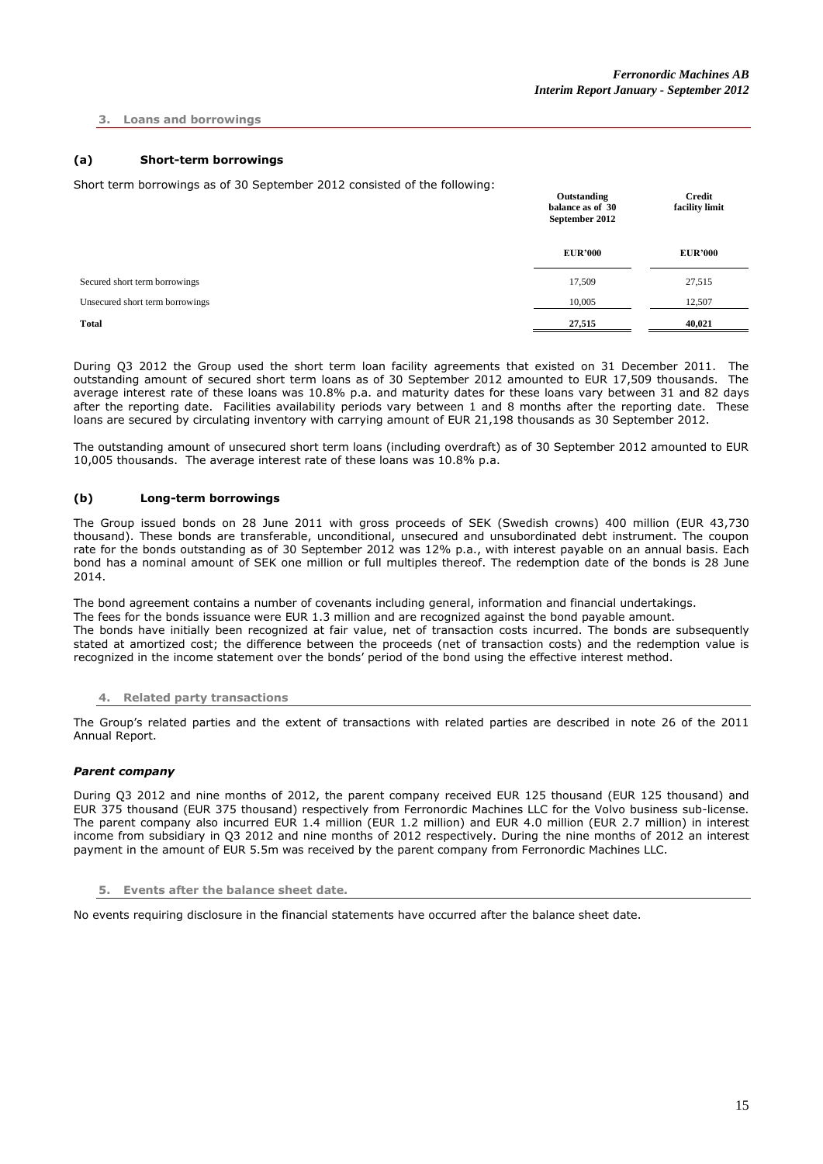# **3. Loans and borrowings**

# **(a) Short-term borrowings**

Short term borrowings as of 30 September 2012 consisted of the following:

|                                 | Outstanding<br>balance as of 30<br>September 2012 | Credit<br>facility limit |
|---------------------------------|---------------------------------------------------|--------------------------|
|                                 | <b>EUR'000</b>                                    | <b>EUR'000</b>           |
| Secured short term borrowings   | 17,509                                            | 27,515                   |
| Unsecured short term borrowings | 10,005                                            | 12,507                   |
| <b>Total</b>                    | 27,515                                            | 40,021                   |

During Q3 2012 the Group used the short term loan facility agreements that existed on 31 December 2011. The outstanding amount of secured short term loans as of 30 September 2012 amounted to EUR 17,509 thousands. The average interest rate of these loans was 10.8% p.a. and maturity dates for these loans vary between 31 and 82 days after the reporting date. Facilities availability periods vary between 1 and 8 months after the reporting date. These loans are secured by circulating inventory with carrying amount of EUR 21,198 thousands as 30 September 2012.

The outstanding amount of unsecured short term loans (including overdraft) as of 30 September 2012 amounted to EUR 10,005 thousands. The average interest rate of these loans was 10.8% p.a.

# **(b) Long-term borrowings**

The Group issued bonds on 28 June 2011 with gross proceeds of SEK (Swedish crowns) 400 million (EUR 43,730 thousand). These bonds are transferable, unconditional, unsecured and unsubordinated debt instrument. The coupon rate for the bonds outstanding as of 30 September 2012 was 12% p.a., with interest payable on an annual basis. Each bond has a nominal amount of SEK one million or full multiples thereof. The redemption date of the bonds is 28 June 2014.

The bond agreement contains a number of covenants including general, information and financial undertakings. The fees for the bonds issuance were EUR 1.3 million and are recognized against the bond payable amount. The bonds have initially been recognized at fair value, net of transaction costs incurred. The bonds are subsequently stated at amortized cost; the difference between the proceeds (net of transaction costs) and the redemption value is recognized in the income statement over the bonds' period of the bond using the effective interest method.

# **4. Related party transactions**

The Group's related parties and the extent of transactions with related parties are described in note 26 of the 2011 Annual Report.

# *Parent company*

During Q3 2012 and nine months of 2012, the parent company received EUR 125 thousand (EUR 125 thousand) and EUR 375 thousand (EUR 375 thousand) respectively from Ferronordic Machines LLC for the Volvo business sub-license. The parent company also incurred EUR 1.4 million (EUR 1.2 million) and EUR 4.0 million (EUR 2.7 million) in interest income from subsidiary in Q3 2012 and nine months of 2012 respectively. During the nine months of 2012 an interest payment in the amount of EUR 5.5m was received by the parent company from Ferronordic Machines LLC.

**5. Events after the balance sheet date.**

No events requiring disclosure in the financial statements have occurred after the balance sheet date.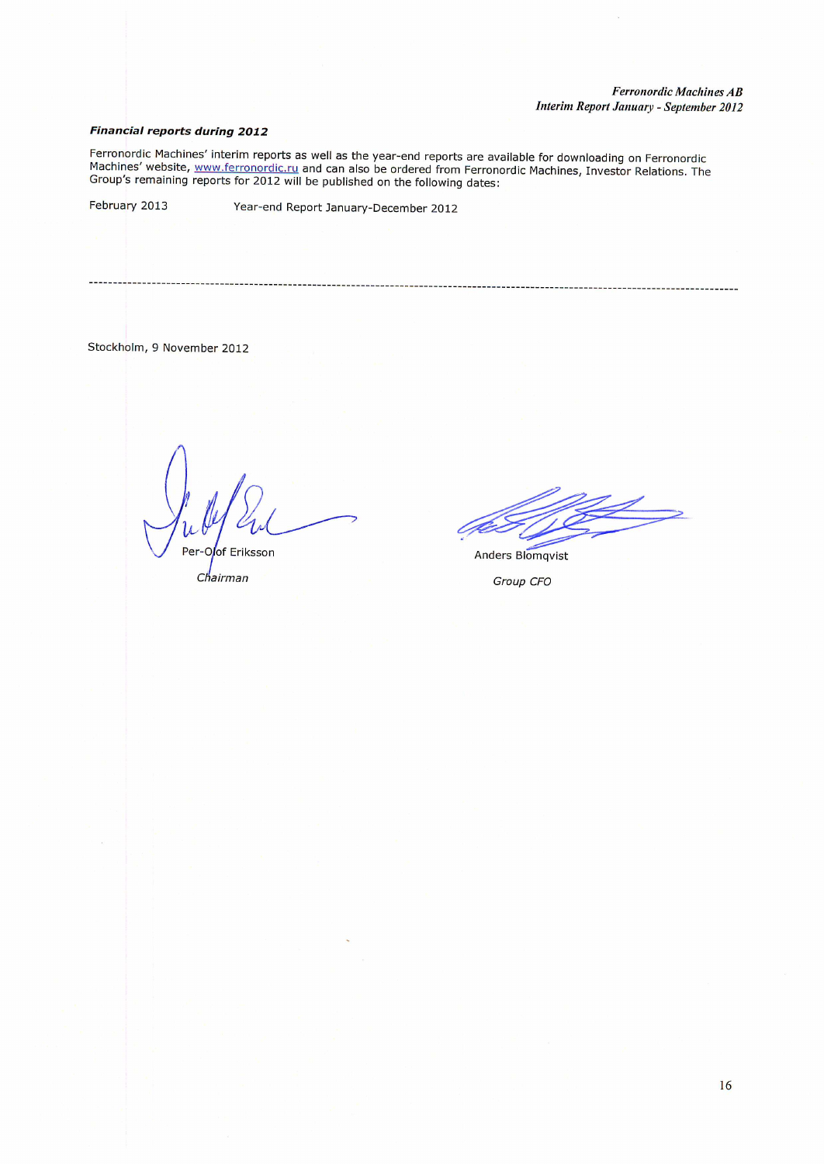# **Financial reports during 2012**

Ferronordic Machines' interim reports as well as the year-end reports are available for downloading on Ferronordic<br>Machines' website, www.ferronordic.ru and can also be ordered from Ferronordic Machines, Investor Relations

February 2013

Year-end Report January-December 2012

# Stockholm, 9 November 2012

Per-Oof Eriksson

Chairman

Anders Blomqvist

Group CFO